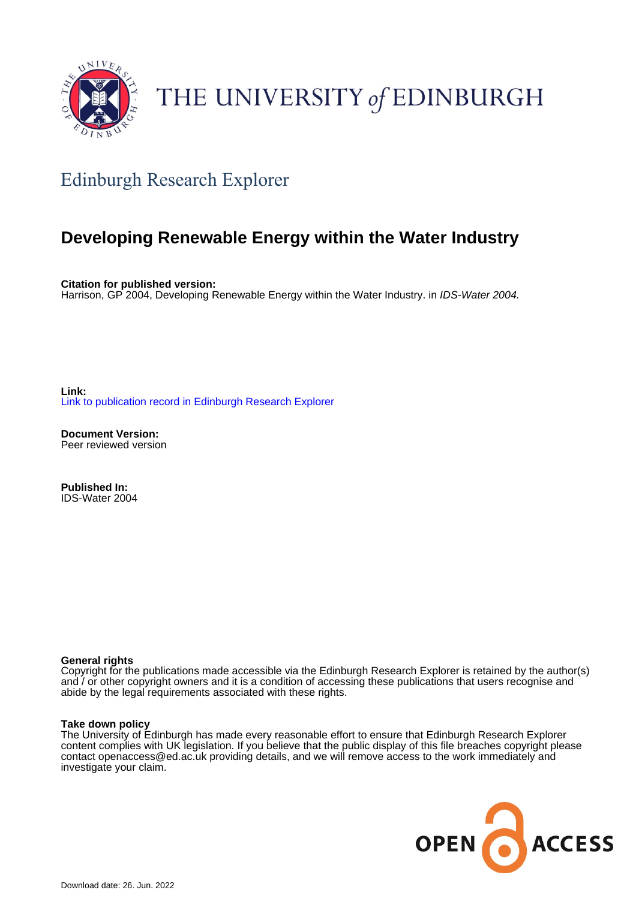

# THE UNIVERSITY of EDINBURGH

# Edinburgh Research Explorer

# **Developing Renewable Energy within the Water Industry**

**Citation for published version:** Harrison, GP 2004, Developing Renewable Energy within the Water Industry. in IDS-Water 2004.

**Link:** [Link to publication record in Edinburgh Research Explorer](https://www.research.ed.ac.uk/en/publications/7745c4e7-5b2e-489c-8758-bfc43a5e0b88)

**Document Version:** Peer reviewed version

**Published In:** IDS-Water 2004

#### **General rights**

Copyright for the publications made accessible via the Edinburgh Research Explorer is retained by the author(s) and / or other copyright owners and it is a condition of accessing these publications that users recognise and abide by the legal requirements associated with these rights.

#### **Take down policy**

The University of Edinburgh has made every reasonable effort to ensure that Edinburgh Research Explorer content complies with UK legislation. If you believe that the public display of this file breaches copyright please contact openaccess@ed.ac.uk providing details, and we will remove access to the work immediately and investigate your claim.

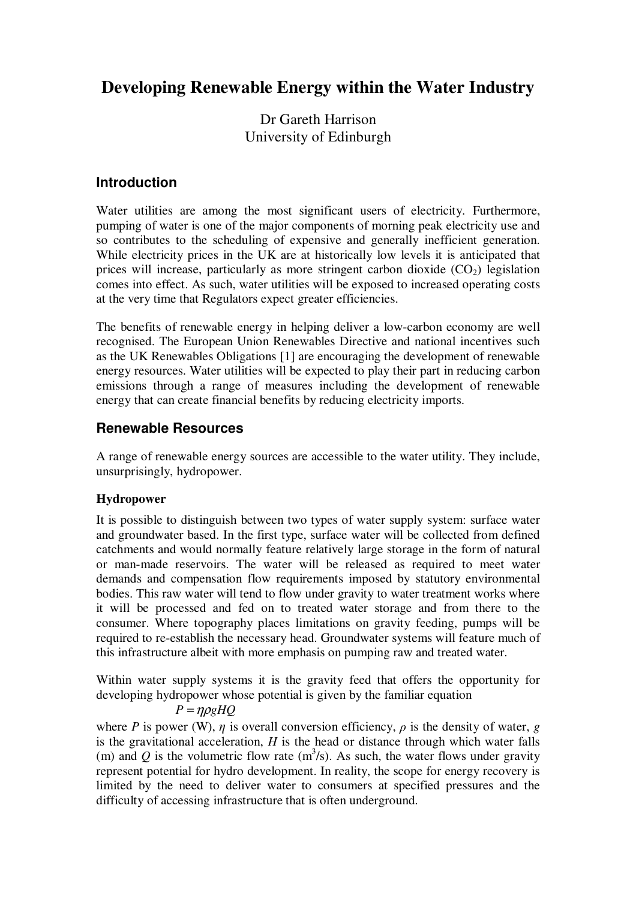# **Developing Renewable Energy within the Water Industry**

Dr Gareth Harrison University of Edinburgh

# **Introduction**

Water utilities are among the most significant users of electricity. Furthermore, pumping of water is one of the major components of morning peak electricity use and so contributes to the scheduling of expensive and generally inefficient generation. While electricity prices in the UK are at historically low levels it is anticipated that prices will increase, particularly as more stringent carbon dioxide  $(CO<sub>2</sub>)$  legislation comes into effect. As such, water utilities will be exposed to increased operating costs at the very time that Regulators expect greater efficiencies.

The benefits of renewable energy in helping deliver a low-carbon economy are well recognised. The European Union Renewables Directive and national incentives such as the UK Renewables Obligations [1] are encouraging the development of renewable energy resources. Water utilities will be expected to play their part in reducing carbon emissions through a range of measures including the development of renewable energy that can create financial benefits by reducing electricity imports.

# **Renewable Resources**

A range of renewable energy sources are accessible to the water utility. They include, unsurprisingly, hydropower.

# **Hydropower**

It is possible to distinguish between two types of water supply system: surface water and groundwater based. In the first type, surface water will be collected from defined catchments and would normally feature relatively large storage in the form of natural or man-made reservoirs. The water will be released as required to meet water demands and compensation flow requirements imposed by statutory environmental bodies. This raw water will tend to flow under gravity to water treatment works where it will be processed and fed on to treated water storage and from there to the consumer. Where topography places limitations on gravity feeding, pumps will be required to re-establish the necessary head. Groundwater systems will feature much of this infrastructure albeit with more emphasis on pumping raw and treated water.

Within water supply systems it is the gravity feed that offers the opportunity for developing hydropower whose potential is given by the familiar equation

$$
P = \eta \rho g H Q
$$

where *P* is power (W),  $\eta$  is overall conversion efficiency,  $\rho$  is the density of water, *g* is the gravitational acceleration, *H* is the head or distance through which water falls (m) and Q is the volumetric flow rate  $(m^3/s)$ . As such, the water flows under gravity represent potential for hydro development. In reality, the scope for energy recovery is limited by the need to deliver water to consumers at specified pressures and the difficulty of accessing infrastructure that is often underground.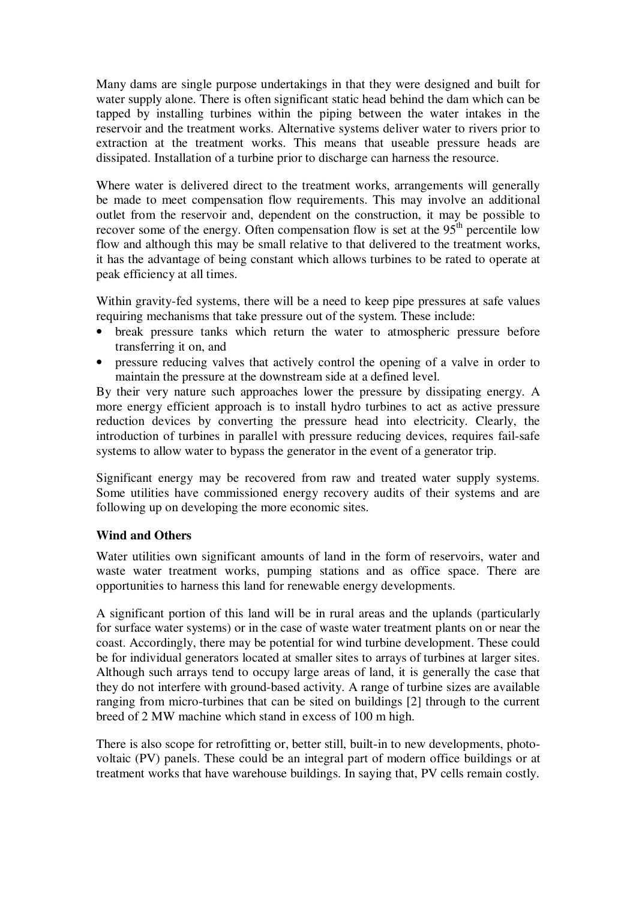Many dams are single purpose undertakings in that they were designed and built for water supply alone. There is often significant static head behind the dam which can be tapped by installing turbines within the piping between the water intakes in the reservoir and the treatment works. Alternative systems deliver water to rivers prior to extraction at the treatment works. This means that useable pressure heads are dissipated. Installation of a turbine prior to discharge can harness the resource.

Where water is delivered direct to the treatment works, arrangements will generally be made to meet compensation flow requirements. This may involve an additional outlet from the reservoir and, dependent on the construction, it may be possible to recover some of the energy. Often compensation flow is set at the  $95<sup>th</sup>$  percentile low flow and although this may be small relative to that delivered to the treatment works, it has the advantage of being constant which allows turbines to be rated to operate at peak efficiency at all times.

Within gravity-fed systems, there will be a need to keep pipe pressures at safe values requiring mechanisms that take pressure out of the system. These include:

- break pressure tanks which return the water to atmospheric pressure before transferring it on, and
- pressure reducing valves that actively control the opening of a valve in order to maintain the pressure at the downstream side at a defined level.

By their very nature such approaches lower the pressure by dissipating energy. A more energy efficient approach is to install hydro turbines to act as active pressure reduction devices by converting the pressure head into electricity. Clearly, the introduction of turbines in parallel with pressure reducing devices, requires fail-safe systems to allow water to bypass the generator in the event of a generator trip.

Significant energy may be recovered from raw and treated water supply systems. Some utilities have commissioned energy recovery audits of their systems and are following up on developing the more economic sites.

### **Wind and Others**

Water utilities own significant amounts of land in the form of reservoirs, water and waste water treatment works, pumping stations and as office space. There are opportunities to harness this land for renewable energy developments.

A significant portion of this land will be in rural areas and the uplands (particularly for surface water systems) or in the case of waste water treatment plants on or near the coast. Accordingly, there may be potential for wind turbine development. These could be for individual generators located at smaller sites to arrays of turbines at larger sites. Although such arrays tend to occupy large areas of land, it is generally the case that they do not interfere with ground-based activity. A range of turbine sizes are available ranging from micro-turbines that can be sited on buildings [2] through to the current breed of 2 MW machine which stand in excess of 100 m high.

There is also scope for retrofitting or, better still, built-in to new developments, photovoltaic (PV) panels. These could be an integral part of modern office buildings or at treatment works that have warehouse buildings. In saying that, PV cells remain costly.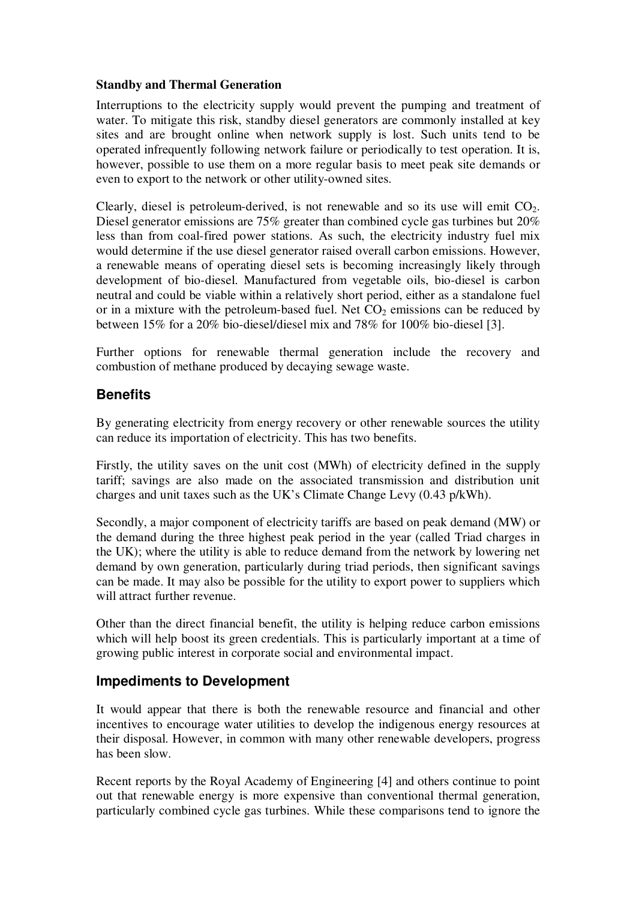#### **Standby and Thermal Generation**

Interruptions to the electricity supply would prevent the pumping and treatment of water. To mitigate this risk, standby diesel generators are commonly installed at key sites and are brought online when network supply is lost. Such units tend to be operated infrequently following network failure or periodically to test operation. It is, however, possible to use them on a more regular basis to meet peak site demands or even to export to the network or other utility-owned sites.

Clearly, diesel is petroleum-derived, is not renewable and so its use will emit  $CO<sub>2</sub>$ . Diesel generator emissions are 75% greater than combined cycle gas turbines but 20% less than from coal-fired power stations. As such, the electricity industry fuel mix would determine if the use diesel generator raised overall carbon emissions. However, a renewable means of operating diesel sets is becoming increasingly likely through development of bio-diesel. Manufactured from vegetable oils, bio-diesel is carbon neutral and could be viable within a relatively short period, either as a standalone fuel or in a mixture with the petroleum-based fuel. Net  $CO<sub>2</sub>$  emissions can be reduced by between 15% for a 20% bio-diesel/diesel mix and 78% for 100% bio-diesel [3].

Further options for renewable thermal generation include the recovery and combustion of methane produced by decaying sewage waste.

# **Benefits**

By generating electricity from energy recovery or other renewable sources the utility can reduce its importation of electricity. This has two benefits.

Firstly, the utility saves on the unit cost (MWh) of electricity defined in the supply tariff; savings are also made on the associated transmission and distribution unit charges and unit taxes such as the UK's Climate Change Levy (0.43 p/kWh).

Secondly, a major component of electricity tariffs are based on peak demand (MW) or the demand during the three highest peak period in the year (called Triad charges in the UK); where the utility is able to reduce demand from the network by lowering net demand by own generation, particularly during triad periods, then significant savings can be made. It may also be possible for the utility to export power to suppliers which will attract further revenue.

Other than the direct financial benefit, the utility is helping reduce carbon emissions which will help boost its green credentials. This is particularly important at a time of growing public interest in corporate social and environmental impact.

# **Impediments to Development**

It would appear that there is both the renewable resource and financial and other incentives to encourage water utilities to develop the indigenous energy resources at their disposal. However, in common with many other renewable developers, progress has been slow.

Recent reports by the Royal Academy of Engineering [4] and others continue to point out that renewable energy is more expensive than conventional thermal generation, particularly combined cycle gas turbines. While these comparisons tend to ignore the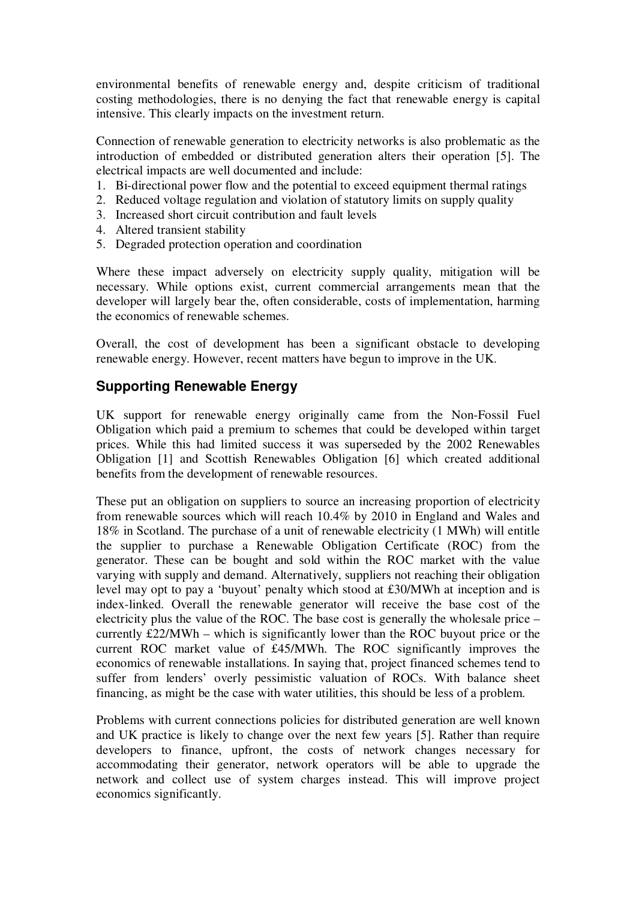environmental benefits of renewable energy and, despite criticism of traditional costing methodologies, there is no denying the fact that renewable energy is capital intensive. This clearly impacts on the investment return.

Connection of renewable generation to electricity networks is also problematic as the introduction of embedded or distributed generation alters their operation [5]. The electrical impacts are well documented and include:

- 1. Bi-directional power flow and the potential to exceed equipment thermal ratings
- 2. Reduced voltage regulation and violation of statutory limits on supply quality
- 3. Increased short circuit contribution and fault levels
- 4. Altered transient stability
- 5. Degraded protection operation and coordination

Where these impact adversely on electricity supply quality, mitigation will be necessary. While options exist, current commercial arrangements mean that the developer will largely bear the, often considerable, costs of implementation, harming the economics of renewable schemes.

Overall, the cost of development has been a significant obstacle to developing renewable energy. However, recent matters have begun to improve in the UK.

# **Supporting Renewable Energy**

UK support for renewable energy originally came from the Non-Fossil Fuel Obligation which paid a premium to schemes that could be developed within target prices. While this had limited success it was superseded by the 2002 Renewables Obligation [1] and Scottish Renewables Obligation [6] which created additional benefits from the development of renewable resources.

These put an obligation on suppliers to source an increasing proportion of electricity from renewable sources which will reach 10.4% by 2010 in England and Wales and 18% in Scotland. The purchase of a unit of renewable electricity (1 MWh) will entitle the supplier to purchase a Renewable Obligation Certificate (ROC) from the generator. These can be bought and sold within the ROC market with the value varying with supply and demand. Alternatively, suppliers not reaching their obligation level may opt to pay a 'buyout' penalty which stood at £30/MWh at inception and is index-linked. Overall the renewable generator will receive the base cost of the electricity plus the value of the ROC. The base cost is generally the wholesale price – currently £22/MWh – which is significantly lower than the ROC buyout price or the current ROC market value of £45/MWh. The ROC significantly improves the economics of renewable installations. In saying that, project financed schemes tend to suffer from lenders' overly pessimistic valuation of ROCs. With balance sheet financing, as might be the case with water utilities, this should be less of a problem.

Problems with current connections policies for distributed generation are well known and UK practice is likely to change over the next few years [5]. Rather than require developers to finance, upfront, the costs of network changes necessary for accommodating their generator, network operators will be able to upgrade the network and collect use of system charges instead. This will improve project economics significantly.